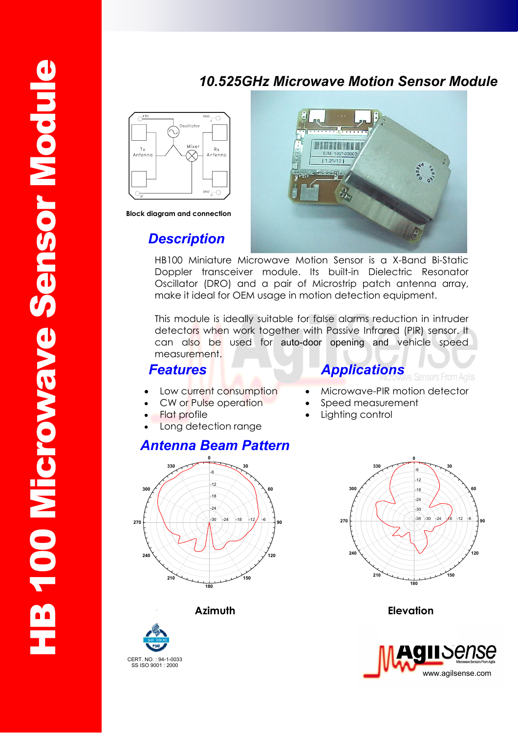## *10.525GHz Microwave Motion Sensor Module*



**Block diagram and connection** 

## *Description*



HB100 Miniature Microwave Motion Sensor is a X-Band Bi-Static Doppler transceiver module. Its built-in Dielectric Resonator Oscillator (DRO) and a pair of Microstrip patch antenna array, make it ideal for OEM usage in motion detection equipment.

This module is ideally suitable for false alarms reduction in intruder detectors when work together with Passive Infrared (PIR) sensor. It can also be used for auto-door opening and vehicle speed measurement.

## **Features Applications**

- Low current consumption
- CW or Pulse operation
- **Flat profile**
- Long detection range

## *Antenna Beam Pattern*



#### **0 30 60 90 120 150 180 210 240 270 300 330** -36 -30 -30 -24 -24 -18 -18 -12 -12 -6 -6

• Microwave-PIR motion detector

sors From Agilis

Speed measurement

Lighting control

**Azimuth Elevation**





CERT. NO. : 94-1-0033 SS ISO 9001 : 2000